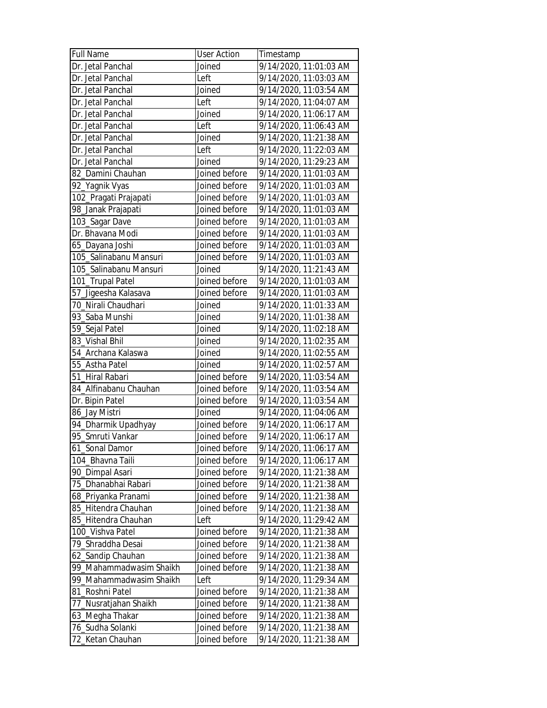| <b>Full Name</b>        | <b>User Action</b> | Timestamp              |
|-------------------------|--------------------|------------------------|
| Dr. Jetal Panchal       | Joined             | 9/14/2020, 11:01:03 AM |
| Dr. Jetal Panchal       | Left               | 9/14/2020, 11:03:03 AM |
| Dr. Jetal Panchal       | Joined             | 9/14/2020, 11:03:54 AM |
| Dr. Jetal Panchal       | Left               | 9/14/2020, 11:04:07 AM |
| Dr. Jetal Panchal       | Joined             | 9/14/2020, 11:06:17 AM |
| Dr. Jetal Panchal       | Left               | 9/14/2020, 11:06:43 AM |
| Dr. Jetal Panchal       | Joined             | 9/14/2020, 11:21:38 AM |
| Dr. Jetal Panchal       | Left               | 9/14/2020, 11:22:03 AM |
| Dr. Jetal Panchal       | Joined             | 9/14/2020, 11:29:23 AM |
| 82_Damini Chauhan       | Joined before      | 9/14/2020, 11:01:03 AM |
| 92_Yagnik Vyas          | Joined before      | 9/14/2020, 11:01:03 AM |
| 102_Pragati Prajapati   | Joined before      | 9/14/2020, 11:01:03 AM |
| 98_Janak Prajapati      | Joined before      | 9/14/2020, 11:01:03 AM |
| 103_Sagar Dave          | Joined before      | 9/14/2020, 11:01:03 AM |
| Dr. Bhavana Modi        | Joined before      | 9/14/2020, 11:01:03 AM |
| 65_Dayana Joshi         | Joined before      | 9/14/2020, 11:01:03 AM |
| 105_Salinabanu Mansuri  | Joined before      | 9/14/2020, 11:01:03 AM |
| 105_Salinabanu Mansuri  | Joined             | 9/14/2020, 11:21:43 AM |
| 101_Trupal Patel        | Joined before      | 9/14/2020, 11:01:03 AM |
| 57_Jigeesha Kalasava    | Joined before      | 9/14/2020, 11:01:03 AM |
| 70_Nirali Chaudhari     | Joined             | 9/14/2020, 11:01:33 AM |
| 93_Saba Munshi          | Joined             | 9/14/2020, 11:01:38 AM |
|                         | Joined             | 9/14/2020, 11:02:18 AM |
| 59_Sejal Patel          |                    |                        |
| 83_Vishal Bhil          | Joined             | 9/14/2020, 11:02:35 AM |
| 54_Archana Kalaswa      | Joined             | 9/14/2020, 11:02:55 AM |
| 55_Astha Patel          | Joined             | 9/14/2020, 11:02:57 AM |
| 51_Hiral Rabari         | Joined before      | 9/14/2020, 11:03:54 AM |
| 84_Alfinabanu Chauhan   | Joined before      | 9/14/2020, 11:03:54 AM |
| Dr. Bipin Patel         | Joined before      | 9/14/2020, 11:03:54 AM |
| 86_Jay Mistri           | Joined             | 9/14/2020, 11:04:06 AM |
| 94_Dharmik Upadhyay     | Joined before      | 9/14/2020, 11:06:17 AM |
| 95_Smruti Vankar        | Joined before      | 9/14/2020, 11:06:17 AM |
| 61_Sonal Damor          | Joined before      | 9/14/2020, 11:06:17 AM |
| 104_Bhavna Taili        | Joined before      | 9/14/2020, 11:06:17 AM |
| 90_Dimpal Asari         | Joined before      | 9/14/2020, 11:21:38 AM |
| 75_Dhanabhai Rabari     | Joined before      | 9/14/2020, 11:21:38 AM |
| 68_Priyanka Pranami     | Joined before      | 9/14/2020, 11:21:38 AM |
| 85_Hitendra Chauhan     | Joined before      | 9/14/2020, 11:21:38 AM |
| 85_Hitendra Chauhan     | Left               | 9/14/2020, 11:29:42 AM |
| 100_Vishva Patel        | Joined before      | 9/14/2020, 11:21:38 AM |
| 79_Shraddha Desai       | Joined before      | 9/14/2020, 11:21:38 AM |
| 62_Sandip Chauhan       | Joined before      | 9/14/2020, 11:21:38 AM |
| 99_Mahammadwasim Shaikh | Joined before      | 9/14/2020, 11:21:38 AM |
| 99_Mahammadwasim Shaikh | Left               | 9/14/2020, 11:29:34 AM |
| 81_Roshni Patel         | Joined before      | 9/14/2020, 11:21:38 AM |
| 77_Nusratjahan Shaikh   | Joined before      | 9/14/2020, 11:21:38 AM |
| 63_Megha Thakar         | Joined before      | 9/14/2020, 11:21:38 AM |
| 76_Sudha Solanki        | Joined before      | 9/14/2020, 11:21:38 AM |
| 72_Ketan Chauhan        | Joined before      | 9/14/2020, 11:21:38 AM |